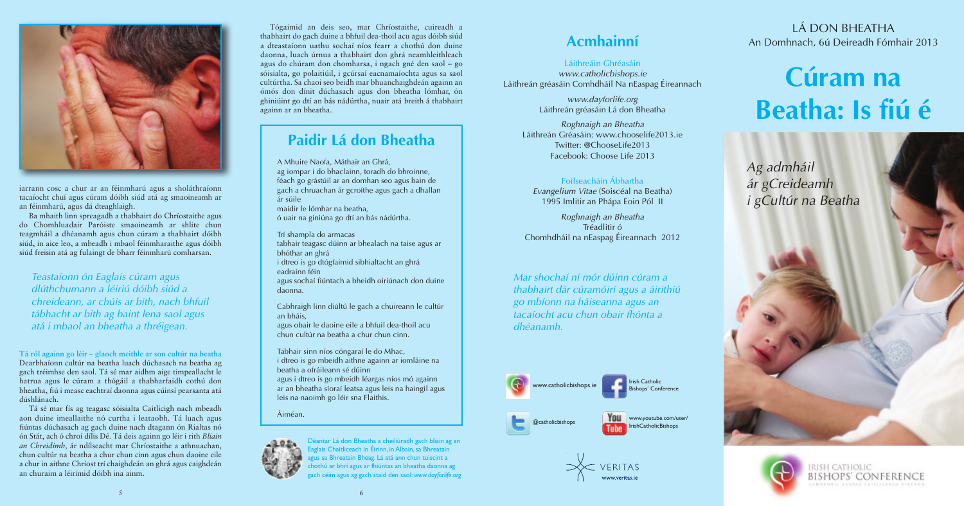www.catholicbishops.ie

www.youtube.com/user/ IrishCatholicBishops

Irish Catholic Bishops' Conference



@catholicbishops



iarrann cosc a chur ar an féinmharú agus a sholáthraíonn tacaíocht chuí agus cúram dóibh siúd atá ag smaoineamh ar an féinmharú, agus dá dteaghlaigh.

Ba mhaith linn spreagadh a thabhairt do Chríostaithe agus do Chomhluadair Paróiste smaoineamh ar shlite chun teagmháil a dhéanamh agus chun cúram a thabhairt dóibh siúd, in aice leo, a mbeadh i mbaol féinmharaithe agus dóibh siúd freisin atá ag fulaingt de bharr féinmharú comharsan.

**Tá ról againn go léir – glaoch meithle ar son cultúr na beatha** Dearbhaíonn cultúr na beatha luach dúchasach na beatha ag gach tréimhse den saol. Tá sé mar aidhm aige timpeallacht le hatrua agus le cúram a thógáil a thabharfaidh cothú don bheatha, fiú i measc eachtraí daonna agus cúinsí pearsanta atá dúshlánach.

Tá sé mar fís ag teagasc sóisialta Caitlicigh nach mbeadh aon duine imeallaithe nó curtha i leataobh. Tá luach agus fiúntas dúchasach ag gach duine nach dtagann ón Rialtas nó ón Stát, ach ó chroí dílis Dé. Tá deis againn go léir i rith *Bliain an Chreidimh,* ár ndílseacht mar Chríostaithe a athnuachan, chun cultúr na beatha a chur chun cinn agus chun daoine eile a chur in aithne Chríost trí chaighdeán an ghrá agus caighdeán an churaim a léirímid dóibh ina ainm.

## **Cúram na Beatha: Is fiú é**

*Ag admháil ár gCreideamh i gCultúr na Beatha*



RISH CATHOLIC MEDHALL EXTRAS CALIFORNIA SIKCARI

LÁ DON BHEATHA An Domhnach, 6ú Deireadh Fómhair 2013

A Mhuire Naofa, Máthair an Ghrá, ag iompar i do bhaclainn, toradh do bhroinne, féach go grástúil ar an domhan seo agus bain de gach a chruachan ár gcroíthe agus gach a dhallan ár súile maidir le lómhar na beatha, ó uair na giniúna go dtí an bás nádúrtha.

Trí shampla do armacas tabhair teagasc dúinn ar bhealach na taise agus ar bhóthar an ghrá i dtreo is go dtógfaimid sibhialtacht an ghrá eadrainn féin agus sochaí fiúntach a bheidh oiriúnach don duine daonna.

Cabhraigh linn diúltú le gach a chuireann le cultúr an bháis, agus obair le daoine eile a bhfuil dea-thoil acu chun cultúr na beatha a chur chun cinn.

Tabhair sinn níos cóngaraí le do Mhac, i dtreo is go mbeidh aithne againn ar iomláine na beatha a ofráileann sé dúinn agus i dtreo is go mbeidh léargas níos mó againn ar an bheatha síoraí leatsa agus leis na haingil agus leis na naoimh go léir sna Flaithis.

Áiméan.



## **Paidir Lá don Bheatha**

#### Láithreáin Ghréasáin

*www.catholicbishops.ie* Láithreán gréasáin Comhdháil Na nEaspag Éireannach

> *www.dayforlife.org* Láithreán gréasáin Lá don Bheatha

*Roghnaigh an Bheatha* Láithreán Gréasáin: www.chooselife2013.ie Twitter: @ChooseLife2013 Facebook: Choose Life 2013

#### Foilseacháin Ábhartha

*Evangelium Vitae* (Soiscéal na Beatha) 1995 Imlitir an Phápa Eoin Pól II

*Roghnaigh an Bheatha* Tréadlitir ó Chomhdháil na nEaspag Éireannach 2012

5

*Teastaíonn ón Eaglais cúram agus dlúthchumann a léiriú dóibh siúd a chreideann, ar chúis ar bith, nach bhfuil tábhacht ar bith ag baint lena saol agus atá i mbaol an bheatha a thréigean.*

*Mar shochaí ní mór dúinn cúram a thabhairt dár cúramóirí agus a áirithiú go mbíonn na háiseanna agus an tacaíocht acu chun obair fhónta a dhéanamh.*

Tógaimid an deis seo, mar Chríostaithe, cuireadh a thabhairt do gach duine a bhfuil dea-thoil acu agus dóibh siúd a dteastaíonn uathu sochaí níos fearr a chothú don duine daonna, luach úrnua a thabhairt don ghrá neamhleithleach agus do chúram don chomharsa, i ngach gné den saol – go sóisialta, go polaitiúil, i gcúrsaí eacnamaíochta agus sa saol cultúrtha. Sa chaoi seo beidh mar bhuanchaighdeán againn an ómós don dínit dúchasach agus don bheatha lómhar, ón ghiniúint go dtí an bás nádúrtha, nuair atá breith á thabhairt againn ar an bheatha.

> Déantar Lá don Bheatha a cheiliúradh gach bliain ag an elais Chaitliceach in Éirinn, in Albain, sa Bhreatain .<br>Jus sa Bhreatain Bheag. Lá atá ann chun tuiscint a hothú ar bhrí agus ar fhiúntas an bheatha daonna ag gach céim agus ag gach staid den saol: *www.dayforlife.org*

### **Acmhainní**

6